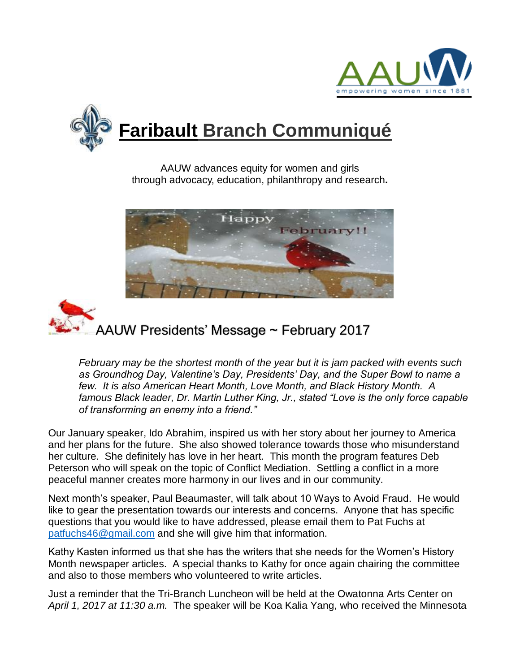



AAUW advances equity for women and girls through advocacy, education, philanthropy and research**.**





*February may be the shortest month of the year but it is jam packed with events such as Groundhog Day, Valentine's Day, Presidents' Day, and the Super Bowl to name a few. It is also American Heart Month, Love Month, and Black History Month. A famous Black leader, Dr. Martin Luther King, Jr., stated "Love is the only force capable of transforming an enemy into a friend."*

Our January speaker, Ido Abrahim, inspired us with her story about her journey to America and her plans for the future. She also showed tolerance towards those who misunderstand her culture. She definitely has love in her heart. This month the program features Deb Peterson who will speak on the topic of Conflict Mediation. Settling a conflict in a more peaceful manner creates more harmony in our lives and in our community.

Next month's speaker, Paul Beaumaster, will talk about 10 Ways to Avoid Fraud. He would like to gear the presentation towards our interests and concerns. Anyone that has specific questions that you would like to have addressed, please email them to Pat Fuchs at [patfuchs46@gmail.com](mailto:patfuchs46@gmail.com) and she will give him that information.

Kathy Kasten informed us that she has the writers that she needs for the Women's History Month newspaper articles. A special thanks to Kathy for once again chairing the committee and also to those members who volunteered to write articles.

Just a reminder that the Tri-Branch Luncheon will be held at the Owatonna Arts Center on *April 1, 2017 at 11:30 a.m.* The speaker will be Koa Kalia Yang, who received the Minnesota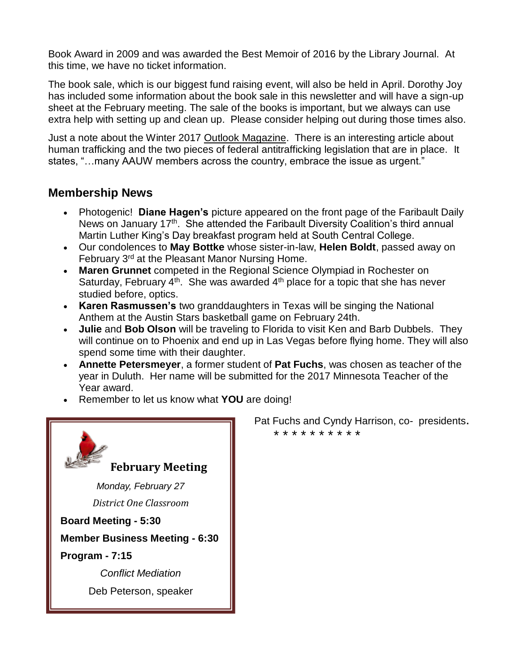Book Award in 2009 and was awarded the Best Memoir of 2016 by the Library Journal. At this time, we have no ticket information.

The book sale, which is our biggest fund raising event, will also be held in April. Dorothy Joy has included some information about the book sale in this newsletter and will have a sign-up sheet at the February meeting. The sale of the books is important, but we always can use extra help with setting up and clean up. Please consider helping out during those times also.

Just a note about the Winter 2017 Outlook Magazine. There is an interesting article about human trafficking and the two pieces of federal antitrafficking legislation that are in place. It states, "…many AAUW members across the country, embrace the issue as urgent."

# **Membership News**

- Photogenic! **Diane Hagen's** picture appeared on the front page of the Faribault Daily News on January 17<sup>th</sup>. She attended the Faribault Diversity Coalition's third annual Martin Luther King's Day breakfast program held at South Central College.
- Our condolences to **May Bottke** whose sister-in-law, **Helen Boldt**, passed away on February 3rd at the Pleasant Manor Nursing Home.
- **Maren Grunnet** competed in the Regional Science Olympiad in Rochester on Saturday, February  $4<sup>th</sup>$ . She was awarded  $4<sup>th</sup>$  place for a topic that she has never studied before, optics.
- **Karen Rasmussen's** two granddaughters in Texas will be singing the National Anthem at the Austin Stars basketball game on February 24th.
- **Julie** and **Bob Olson** will be traveling to Florida to visit Ken and Barb Dubbels. They will continue on to Phoenix and end up in Las Vegas before flying home. They will also spend some time with their daughter.
- **Annette Petersmeyer**, a former student of **Pat Fuchs**, was chosen as teacher of the year in Duluth. Her name will be submitted for the 2017 Minnesota Teacher of the Year award.
- Remember to let us know what **YOU** are doing!



 Pat Fuchs and Cyndy Harrison, co- presidents. \* \* \* \* \* \* \* \* \* \*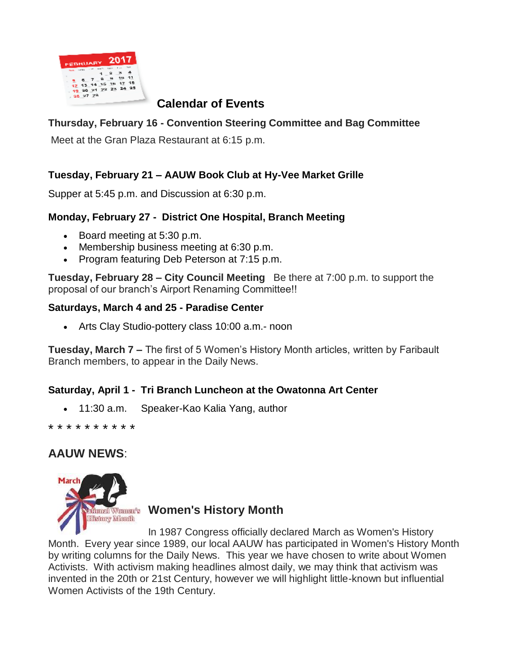

# **Calendar of Events**

## **Thursday, February 16 - Convention Steering Committee and Bag Committee**

Meet at the Gran Plaza Restaurant at 6:15 p.m.

## **Tuesday, February 21 – AAUW Book Club at Hy-Vee Market Grille**

Supper at 5:45 p.m. and Discussion at 6:30 p.m.

## **Monday, February 27 - District One Hospital, Branch Meeting**

- Board meeting at 5:30 p.m.
- Membership business meeting at 6:30 p.m.
- Program featuring Deb Peterson at 7:15 p.m.

**Tuesday, February 28 – City Council Meeting** Be there at 7:00 p.m. to support the proposal of our branch's Airport Renaming Committee!!

## **Saturdays, March 4 and 25 - Paradise Center**

• Arts Clay Studio-pottery class 10:00 a.m.- noon

**Tuesday, March 7 –** The first of 5 Women's History Month articles, written by Faribault Branch members, to appear in the Daily News.

## **Saturday, April 1 - Tri Branch Luncheon at the Owatonna Art Center**

• 11:30 a.m. Speaker-Kao Kalia Yang, author

\* \* \* \* \* \* \* \* \* \*

# **AAUW NEWS**:



# **Women's History Month**

In 1987 Congress officially declared March as Women's History Month. Every year since 1989, our local AAUW has participated in Women's History Month by writing columns for the Daily News. This year we have chosen to write about Women Activists. With activism making headlines almost daily, we may think that activism was invented in the 20th or 21st Century, however we will highlight little-known but influential Women Activists of the 19th Century.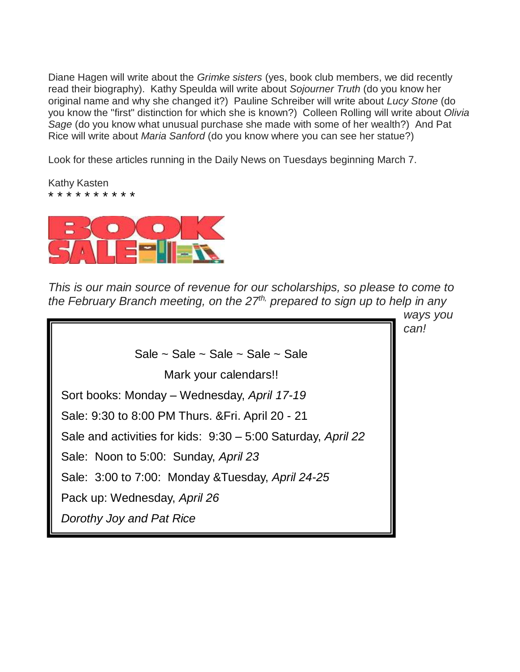Diane Hagen will write about the *Grimke sisters* (yes, book club members, we did recently read their biography). Kathy Speulda will write about *Sojourner Truth* (do you know her original name and why she changed it?) Pauline Schreiber will write about *Lucy Stone* (do you know the "first" distinction for which she is known?) Colleen Rolling will write about *Olivia Sage* (do you know what unusual purchase she made with some of her wealth?) And Pat Rice will write about *Maria Sanford* (do you know where you can see her statue?)

Look for these articles running in the Daily News on Tuesdays beginning March 7.

Kathy Kasten \* \* \* \* \* \* \* \* \* \*



*This is our main source of revenue for our scholarships, so please to come to the February Branch meeting, on the 27th, prepared to sign up to help in any* 

*ways you can!* Sale  $\sim$  Sale  $\sim$  Sale  $\sim$  Sale  $\sim$  Sale Mark your calendars!! Sort books: Monday – Wednesday, *April 17-19* Sale: 9:30 to 8:00 PM Thurs. &Fri. April 20 - 21 Sale and activities for kids: 9:30 – 5:00 Saturday, *April 22* Sale: Noon to 5:00: Sunday, *April 23* Sale: 3:00 to 7:00: Monday &Tuesday, *April 24-25* Pack up: Wednesday, *April 26 Dorothy Joy and Pat Rice*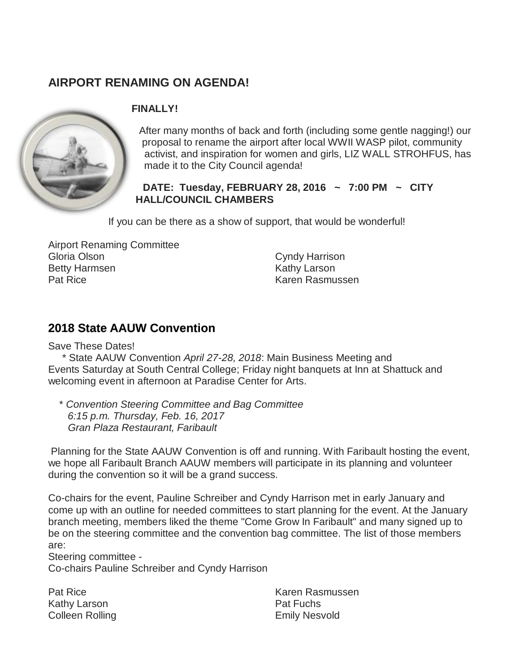# **AIRPORT RENAMING ON AGENDA!**



## **FINALLY!**

After many months of back and forth (including some gentle nagging!) our proposal to rename the airport after local WWII WASP pilot, community activist, and inspiration for women and girls, LIZ WALL STROHFUS, has made it to the City Council agenda!

**DATE: Tuesday, FEBRUARY 28, 2016 ~ 7:00 PM ~ CITY HALL/COUNCIL CHAMBERS**

If you can be there as a show of support, that would be wonderful!

Airport Renaming Committee Gloria Olson Betty Harmsen Pat Rice

Cyndy Harrison Kathy Larson Karen Rasmussen

# **2018 State AAUW Convention**

Save These Dates!

\* State AAUW Convention *April 27-28, 2018*: Main Business Meeting and Events Saturday at South Central College; Friday night banquets at Inn at Shattuck and welcoming event in afternoon at Paradise Center for Arts.

\* *Convention Steering Committee and Bag Committee 6:15 p.m. Thursday, Feb. 16, 2017 Gran Plaza Restaurant, Faribault*

Planning for the State AAUW Convention is off and running. With Faribault hosting the event, we hope all Faribault Branch AAUW members will participate in its planning and volunteer during the convention so it will be a grand success.

Co-chairs for the event, Pauline Schreiber and Cyndy Harrison met in early January and come up with an outline for needed committees to start planning for the event. At the January branch meeting, members liked the theme "Come Grow In Faribault" and many signed up to be on the steering committee and the convention bag committee. The list of those members are:

Steering committee -

Co-chairs Pauline Schreiber and Cyndy Harrison

Pat Rice Kathy Larson Colleen Rolling Karen Rasmussen Pat Fuchs Emily Nesvold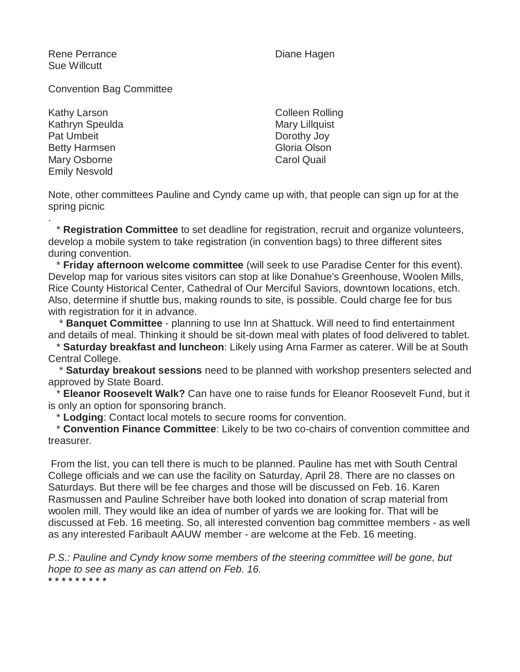Rene Perrance Sue Willcutt

Diane Hagen

Convention Bag Committee

Kathy Larson Kathryn Speulda Pat Umbeit Betty Harmsen Mary Osborne Emily Nesvold

Colleen Rolling Mary Lillquist Dorothy Joy Gloria Olson Carol Quail

Note, other committees Pauline and Cyndy came up with, that people can sign up for at the spring picnic

. \* **Registration Committee** to set deadline for registration, recruit and organize volunteers, develop a mobile system to take registration (in convention bags) to three different sites during convention.

\* **Friday afternoon welcome committee** (will seek to use Paradise Center for this event). Develop map for various sites visitors can stop at like Donahue's Greenhouse, Woolen Mills, Rice County Historical Center, Cathedral of Our Merciful Saviors, downtown locations, etch. Also, determine if shuttle bus, making rounds to site, is possible. Could charge fee for bus with registration for it in advance.

\* **Banquet Committee** - planning to use Inn at Shattuck. Will need to find entertainment and details of meal. Thinking it should be sit-down meal with plates of food delivered to tablet.

\* **Saturday breakfast and luncheon**: Likely using Arna Farmer as caterer. Will be at South Central College.

\* **Saturday breakout sessions** need to be planned with workshop presenters selected and approved by State Board.

\* **Eleanor Roosevelt Walk?** Can have one to raise funds for Eleanor Roosevelt Fund, but it is only an option for sponsoring branch.

\* **Lodging**: Contact local motels to secure rooms for convention.

\* **Convention Finance Committee**: Likely to be two co-chairs of convention committee and treasurer.

From the list, you can tell there is much to be planned. Pauline has met with South Central College officials and we can use the facility on Saturday, April 28. There are no classes on Saturdays. But there will be fee charges and those will be discussed on Feb. 16. Karen Rasmussen and Pauline Schreiber have both looked into donation of scrap material from woolen mill. They would like an idea of number of yards we are looking for. That will be discussed at Feb. 16 meeting. So, all interested convention bag committee members - as well as any interested Faribault AAUW member - are welcome at the Feb. 16 meeting.

*P.S.: Pauline and Cyndy know some members of the steering committee will be gone, but hope to see as many as can attend on Feb. 16.* \* \* \* \* \* \* \* \* \*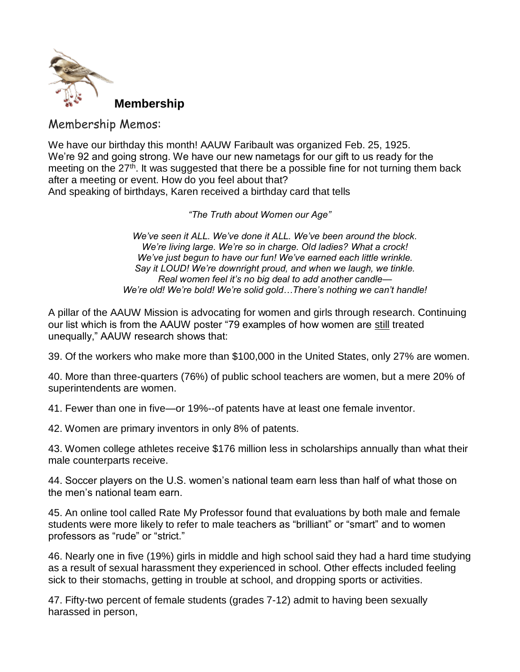

Membership Memos:

We have our birthday this month! AAUW Faribault was organized Feb. 25, 1925. We're 92 and going strong. We have our new nametags for our gift to us ready for the meeting on the  $27<sup>th</sup>$ . It was suggested that there be a possible fine for not turning them back after a meeting or event. How do you feel about that? And speaking of birthdays, Karen received a birthday card that tells

*"The Truth about Women our Age"*

*We've seen it ALL. We've done it ALL. We've been around the block. We're living large. We're so in charge. Old ladies? What a crock! We've just begun to have our fun! We've earned each little wrinkle. Say it LOUD! We're downright proud, and when we laugh, we tinkle. Real women feel it's no big deal to add another candle— We're old! We're bold! We're solid gold…There's nothing we can't handle!*

A pillar of the AAUW Mission is advocating for women and girls through research. Continuing our list which is from the AAUW poster "79 examples of how women are still treated unequally," AAUW research shows that:

39. Of the workers who make more than \$100,000 in the United States, only 27% are women.

40. More than three-quarters (76%) of public school teachers are women, but a mere 20% of superintendents are women.

41. Fewer than one in five—or 19%--of patents have at least one female inventor.

42. Women are primary inventors in only 8% of patents.

43. Women college athletes receive \$176 million less in scholarships annually than what their male counterparts receive.

44. Soccer players on the U.S. women's national team earn less than half of what those on the men's national team earn.

45. An online tool called Rate My Professor found that evaluations by both male and female students were more likely to refer to male teachers as "brilliant" or "smart" and to women professors as "rude" or "strict."

46. Nearly one in five (19%) girls in middle and high school said they had a hard time studying as a result of sexual harassment they experienced in school. Other effects included feeling sick to their stomachs, getting in trouble at school, and dropping sports or activities.

47. Fifty-two percent of female students (grades 7-12) admit to having been sexually harassed in person,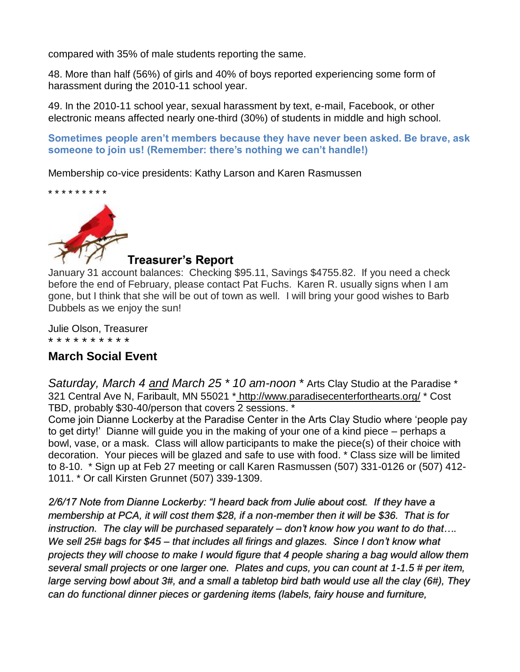compared with 35% of male students reporting the same.

48. More than half (56%) of girls and 40% of boys reported experiencing some form of harassment during the 2010-11 school year.

49. In the 2010-11 school year, sexual harassment by text, e-mail, Facebook, or other electronic means affected nearly one-third (30%) of students in middle and high school.

**Sometimes people aren't members because they have never been asked. Be brave, ask someone to join us! (Remember: there's nothing we can't handle!)**

Membership co-vice presidents: Kathy Larson and Karen Rasmussen

\* \* \* \* \* \* \* \* \*



## **Treasurer's Report**

January 31 account balances: Checking \$95.11, Savings \$4755.82. If you need a check before the end of February, please contact Pat Fuchs. Karen R. usually signs when I am gone, but I think that she will be out of town as well. I will bring your good wishes to Barb Dubbels as we enjoy the sun!

Julie Olson, Treasurer \* \* \* \* \* \* \* \* \* \*

# **March Social Event**

*Saturday, March 4 and March 25 \* 10 am-noon* \* Arts Clay Studio at the Paradise \* 321 Central Ave N, Faribault, MN 55021 \* <http://www.paradisecenterforthearts.org/> \* Cost TBD, probably \$30-40/person that covers 2 sessions. \*

Come join Dianne Lockerby at the Paradise Center in the Arts Clay Studio where 'people pay to get dirty!' Dianne will guide you in the making of your one of a kind piece – perhaps a bowl, vase, or a mask. Class will allow participants to make the piece(s) of their choice with decoration. Your pieces will be glazed and safe to use with food. \* Class size will be limited to 8-10. \* Sign up at Feb 27 meeting or call Karen Rasmussen (507) 331-0126 or (507) 412- 1011. \* Or call Kirsten Grunnet (507) 339-1309.

*2/6/17 Note from Dianne Lockerby: "I heard back from Julie about cost. If they have a membership at PCA, it will cost them \$28, if a non-member then it will be \$36. That is for instruction. The clay will be purchased separately – don't know how you want to do that…. We sell 25# bags for \$45 – that includes all firings and glazes. Since I don't know what projects they will choose to make I would figure that 4 people sharing a bag would allow them several small projects or one larger one. Plates and cups, you can count at 1-1.5 # per item, large serving bowl about 3#, and a small a tabletop bird bath would use all the clay (6#), They can do functional dinner pieces or gardening items (labels, fairy house and furniture,*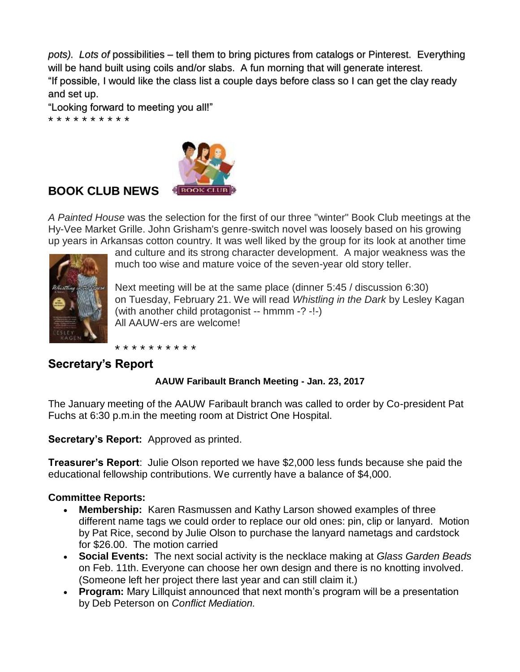*pots). Lots of* possibilities – tell them to bring pictures from catalogs or Pinterest. Everything will be hand built using coils and/or slabs. A fun morning that will generate interest. "If possible, I would like the class list a couple days before class so I can get the clay ready and set up.

"Looking forward to meeting you all!"

\* \* \* \* \* \* \* \* \* \*



# **BOOK CLUB NEWS**

*A Painted House* was the selection for the first of our three "winter" Book Club meetings at the Hy-Vee Market Grille. John Grisham's genre-switch novel was loosely based on his growing up years in Arkansas cotton country. It was well liked by the group for its look at another time



and culture and its strong character development. A major weakness was the much too wise and mature voice of the seven-year old story teller.

Next meeting will be at the same place (dinner 5:45 / discussion 6:30) on Tuesday, February 21. We will read *Whistling in the Dark* by Lesley Kagan (with another child protagonist -- hmmm -? -!-) All AAUW-ers are welcome!

\* \* \* \* \* \* \* \* \* \*

# **Secretary's Report**

## **AAUW Faribault Branch Meeting - Jan. 23, 2017**

The January meeting of the AAUW Faribault branch was called to order by Co-president Pat Fuchs at 6:30 p.m.in the meeting room at District One Hospital.

**Secretary's Report:** Approved as printed.

**Treasurer's Report**: Julie Olson reported we have \$2,000 less funds because she paid the educational fellowship contributions. We currently have a balance of \$4,000.

### **Committee Reports:**

- **Membership:** Karen Rasmussen and Kathy Larson showed examples of three different name tags we could order to replace our old ones: pin, clip or lanyard. Motion by Pat Rice, second by Julie Olson to purchase the lanyard nametags and cardstock for \$26.00. The motion carried
- **Social Events:** The next social activity is the necklace making at *Glass Garden Beads* on Feb. 11th. Everyone can choose her own design and there is no knotting involved. (Someone left her project there last year and can still claim it.)
- **Program:** Mary Lillquist announced that next month's program will be a presentation by Deb Peterson on *Conflict Mediation.*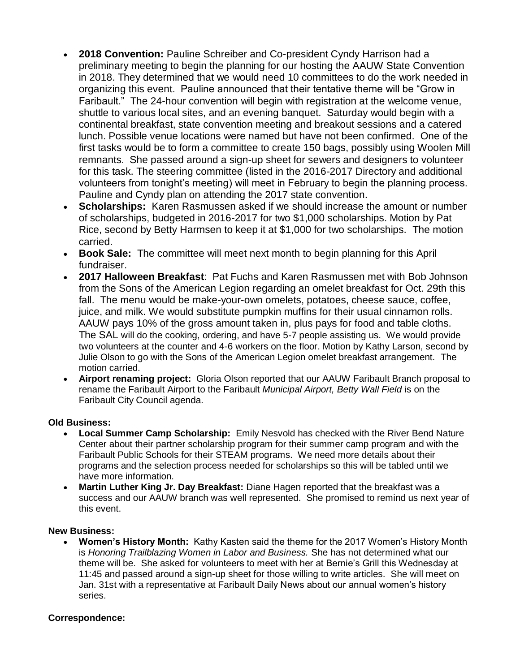- **2018 Convention:** Pauline Schreiber and Co-president Cyndy Harrison had a preliminary meeting to begin the planning for our hosting the AAUW State Convention in 2018. They determined that we would need 10 committees to do the work needed in organizing this event. Pauline announced that their tentative theme will be "Grow in Faribault." The 24-hour convention will begin with registration at the welcome venue, shuttle to various local sites, and an evening banquet. Saturday would begin with a continental breakfast, state convention meeting and breakout sessions and a catered lunch. Possible venue locations were named but have not been confirmed. One of the first tasks would be to form a committee to create 150 bags, possibly using Woolen Mill remnants. She passed around a sign-up sheet for sewers and designers to volunteer for this task. The steering committee (listed in the 2016-2017 Directory and additional volunteers from tonight's meeting) will meet in February to begin the planning process. Pauline and Cyndy plan on attending the 2017 state convention.
- **Scholarships:** Karen Rasmussen asked if we should increase the amount or number of scholarships, budgeted in 2016-2017 for two \$1,000 scholarships. Motion by Pat Rice, second by Betty Harmsen to keep it at \$1,000 for two scholarships. The motion carried.
- **Book Sale:** The committee will meet next month to begin planning for this April fundraiser.
- **2017 Halloween Breakfast**: Pat Fuchs and Karen Rasmussen met with Bob Johnson from the Sons of the American Legion regarding an omelet breakfast for Oct. 29th this fall. The menu would be make-your-own omelets, potatoes, cheese sauce, coffee, juice, and milk. We would substitute pumpkin muffins for their usual cinnamon rolls. AAUW pays 10% of the gross amount taken in, plus pays for food and table cloths. The SAL will do the cooking, ordering, and have 5-7 people assisting us. We would provide two volunteers at the counter and 4-6 workers on the floor. Motion by Kathy Larson, second by Julie Olson to go with the Sons of the American Legion omelet breakfast arrangement. The motion carried.
- **Airport renaming project:** Gloria Olson reported that our AAUW Faribault Branch proposal to rename the Faribault Airport to the Faribault *Municipal Airport, Betty Wall Field* is on the Faribault City Council agenda.

### **Old Business:**

- **Local Summer Camp Scholarship:** Emily Nesvold has checked with the River Bend Nature Center about their partner scholarship program for their summer camp program and with the Faribault Public Schools for their STEAM programs. We need more details about their programs and the selection process needed for scholarships so this will be tabled until we have more information.
- **Martin Luther King Jr. Day Breakfast:** Diane Hagen reported that the breakfast was a success and our AAUW branch was well represented. She promised to remind us next year of this event.

#### **New Business:**

• **Women's History Month:** Kathy Kasten said the theme for the 2017 Women's History Month is *Honoring Trailblazing Women in Labor and Business.* She has not determined what our theme will be. She asked for volunteers to meet with her at Bernie's Grill this Wednesday at 11:45 and passed around a sign-up sheet for those willing to write articles. She will meet on Jan. 31st with a representative at Faribault Daily News about our annual women's history series.

#### **Correspondence:**